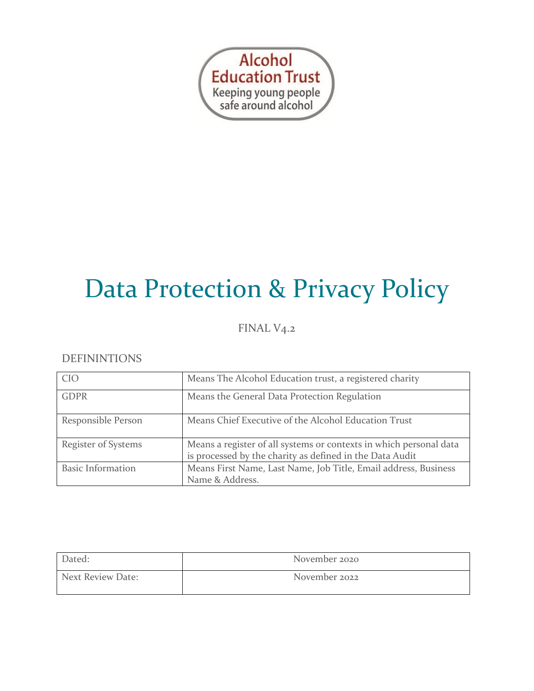

# Data Protection & Privacy Policy

FINAL V4.2

# DEFININTIONS

| <b>CIO</b>                 | Means The Alcohol Education trust, a registered charity                                                                        |  |
|----------------------------|--------------------------------------------------------------------------------------------------------------------------------|--|
| <b>GDPR</b>                | Means the General Data Protection Regulation                                                                                   |  |
| Responsible Person         | Means Chief Executive of the Alcohol Education Trust                                                                           |  |
| <b>Register of Systems</b> | Means a register of all systems or contexts in which personal data<br>is processed by the charity as defined in the Data Audit |  |
| <b>Basic Information</b>   | Means First Name, Last Name, Job Title, Email address, Business<br>Name & Address.                                             |  |

| Dated:            | November 2020 |
|-------------------|---------------|
| Next Review Date: | November 2022 |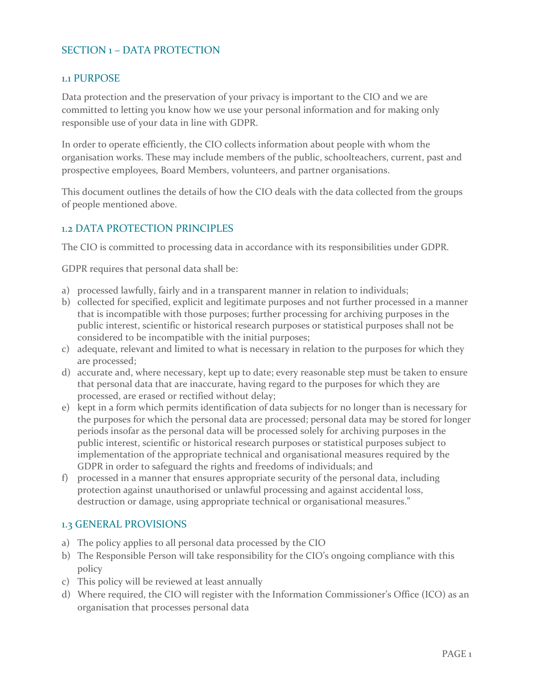# SECTION 1 – DATA PROTECTION

## 1.1 PURPOSE

Data protection and the preservation of your privacy is important to the CIO and we are committed to letting you know how we use your personal information and for making only responsible use of your data in line with GDPR.

In order to operate efficiently, the CIO collects information about people with whom the organisation works. These may include members of the public, schoolteachers, current, past and prospective employees, Board Members, volunteers, and partner organisations.

This document outlines the details of how the CIO deals with the data collected from the groups of people mentioned above.

## 1.2 DATA PROTECTION PRINCIPLES

The CIO is committed to processing data in accordance with its responsibilities under GDPR.

GDPR requires that personal data shall be:

- a) processed lawfully, fairly and in a transparent manner in relation to individuals;
- b) collected for specified, explicit and legitimate purposes and not further processed in a manner that is incompatible with those purposes; further processing for archiving purposes in the public interest, scientific or historical research purposes or statistical purposes shall not be considered to be incompatible with the initial purposes;
- c) adequate, relevant and limited to what is necessary in relation to the purposes for which they are processed;
- d) accurate and, where necessary, kept up to date; every reasonable step must be taken to ensure that personal data that are inaccurate, having regard to the purposes for which they are processed, are erased or rectified without delay;
- e) kept in a form which permits identification of data subjects for no longer than is necessary for the purposes for which the personal data are processed; personal data may be stored for longer periods insofar as the personal data will be processed solely for archiving purposes in the public interest, scientific or historical research purposes or statistical purposes subject to implementation of the appropriate technical and organisational measures required by the GDPR in order to safeguard the rights and freedoms of individuals; and
- f) processed in a manner that ensures appropriate security of the personal data, including protection against unauthorised or unlawful processing and against accidental loss, destruction or damage, using appropriate technical or organisational measures."

## 1.3 GENERAL PROVISIONS

- a) The policy applies to all personal data processed by the CIO
- b) The Responsible Person will take responsibility for the CIO's ongoing compliance with this policy
- c) This policy will be reviewed at least annually
- d) Where required, the CIO will register with the Information Commissioner's Office (ICO) as an organisation that processes personal data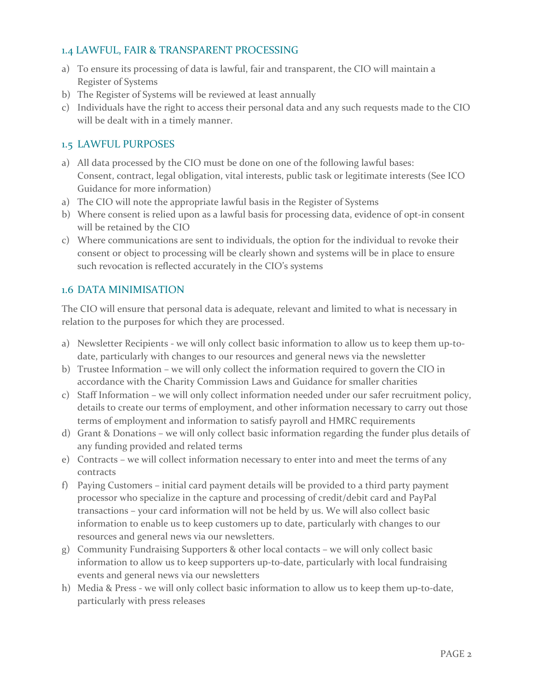# 1.4 LAWFUL, FAIR & TRANSPARENT PROCESSING

- a) To ensure its processing of data is lawful, fair and transparent, the CIO will maintain a Register of Systems
- b) The Register of Systems will be reviewed at least annually
- c) Individuals have the right to access their personal data and any such requests made to the CIO will be dealt with in a timely manner.

# 1.5 LAWFUL PURPOSES

- a) All data processed by the CIO must be done on one of the following lawful bases: Consent, contract, legal obligation, vital interests, public task or legitimate interests (See ICO Guidance for more information)
- a) The CIO will note the appropriate lawful basis in the Register of Systems
- b) Where consent is relied upon as a lawful basis for processing data, evidence of opt-in consent will be retained by the CIO
- c) Where communications are sent to individuals, the option for the individual to revoke their consent or object to processing will be clearly shown and systems will be in place to ensure such revocation is reflected accurately in the CIO's systems

# 1.6 DATA MINIMISATION

The CIO will ensure that personal data is adequate, relevant and limited to what is necessary in relation to the purposes for which they are processed.

- a) Newsletter Recipients we will only collect basic information to allow us to keep them up-todate, particularly with changes to our resources and general news via the newsletter
- b) Trustee Information we will only collect the information required to govern the CIO in accordance with the Charity Commission Laws and Guidance for smaller charities
- c) Staff Information we will only collect information needed under our safer recruitment policy, details to create our terms of employment, and other information necessary to carry out those terms of employment and information to satisfy payroll and HMRC requirements
- d) Grant & Donations we will only collect basic information regarding the funder plus details of any funding provided and related terms
- e) Contracts we will collect information necessary to enter into and meet the terms of any contracts
- f) Paying Customers initial card payment details will be provided to a third party payment processor who specialize in the capture and processing of credit/debit card and PayPal transactions – your card information will not be held by us. We will also collect basic information to enable us to keep customers up to date, particularly with changes to our resources and general news via our newsletters.
- g) Community Fundraising Supporters & other local contacts we will only collect basic information to allow us to keep supporters up-to-date, particularly with local fundraising events and general news via our newsletters
- h) Media & Press we will only collect basic information to allow us to keep them up-to-date, particularly with press releases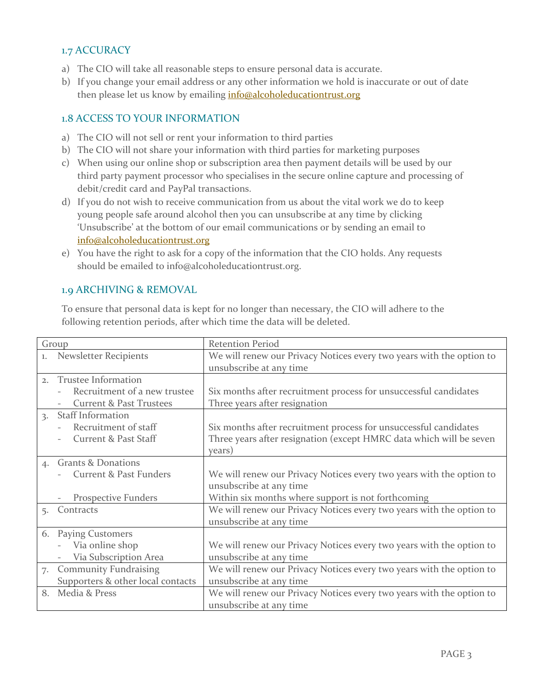# 1.7 ACCURACY

- a) The CIO will take all reasonable steps to ensure personal data is accurate.
- b) If you change your email address or any other information we hold is inaccurate or out of date then please let us know by emailing *info@alcoholeducationtrust.org*

# 1.8 ACCESS TO YOUR INFORMATION

- a) The CIO will not sell or rent your information to third parties
- b) The CIO will not share your information with third parties for marketing purposes
- c) When using our online shop or subscription area then payment details will be used by our third party payment processor who specialises in the secure online capture and processing of debit/credit card and PayPal transactions.
- d) If you do not wish to receive communication from us about the vital work we do to keep young people safe around alcohol then you can unsubscribe at any time by clicking 'Unsubscribe' at the bottom of our email communications or by sending an email to info@alcoholeducationtrust.org
- e) You have the right to ask for a copy of the information that the CIO holds. Any requests should be emailed to info@alcoholeducationtrust.org.

# 1.9 ARCHIVING & REMOVAL

To ensure that personal data is kept for no longer than necessary, the CIO will adhere to the following retention periods, after which time the data will be deleted.

| Group           |                                    | <b>Retention Period</b>                                              |
|-----------------|------------------------------------|----------------------------------------------------------------------|
| 1.              | Newsletter Recipients              | We will renew our Privacy Notices every two years with the option to |
|                 |                                    | unsubscribe at any time                                              |
| 2.              | <b>Trustee Information</b>         |                                                                      |
|                 | Recruitment of a new trustee       | Six months after recruitment process for unsuccessful candidates     |
|                 | <b>Current &amp; Past Trustees</b> | Three years after resignation                                        |
| $\mathcal{E}$ . | <b>Staff Information</b>           |                                                                      |
|                 | Recruitment of staff               | Six months after recruitment process for unsuccessful candidates     |
|                 | <b>Current &amp; Past Staff</b>    | Three years after resignation (except HMRC data which will be seven  |
|                 |                                    | years)                                                               |
|                 | 4. Grants & Donations              |                                                                      |
|                 | <b>Current &amp; Past Funders</b>  | We will renew our Privacy Notices every two years with the option to |
|                 |                                    | unsubscribe at any time                                              |
|                 | <b>Prospective Funders</b>         | Within six months where support is not forthcoming                   |
| 5.              | Contracts                          | We will renew our Privacy Notices every two years with the option to |
|                 |                                    | unsubscribe at any time                                              |
|                 | 6. Paying Customers                |                                                                      |
|                 | Via online shop                    | We will renew our Privacy Notices every two years with the option to |
|                 | Via Subscription Area              | unsubscribe at any time                                              |
|                 | 7. Community Fundraising           | We will renew our Privacy Notices every two years with the option to |
|                 | Supporters & other local contacts  | unsubscribe at any time                                              |
| 8.              | Media & Press                      | We will renew our Privacy Notices every two years with the option to |
|                 |                                    | unsubscribe at any time                                              |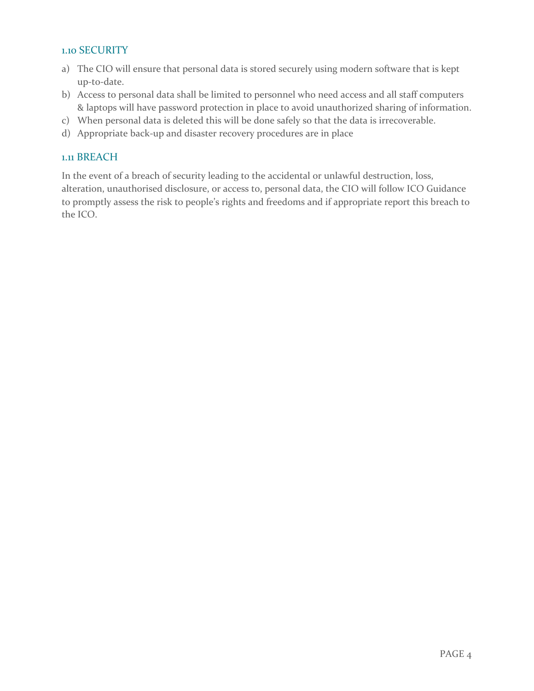# 1.10 SECURITY

- a) The CIO will ensure that personal data is stored securely using modern software that is kept up-to-date.
- b) Access to personal data shall be limited to personnel who need access and all staff computers & laptops will have password protection in place to avoid unauthorized sharing of information.
- c) When personal data is deleted this will be done safely so that the data is irrecoverable.
- d) Appropriate back-up and disaster recovery procedures are in place

## 1.11 BREACH

In the event of a breach of security leading to the accidental or unlawful destruction, loss, alteration, unauthorised disclosure, or access to, personal data, the CIO will follow ICO Guidance to promptly assess the risk to people's rights and freedoms and if appropriate report this breach to the ICO.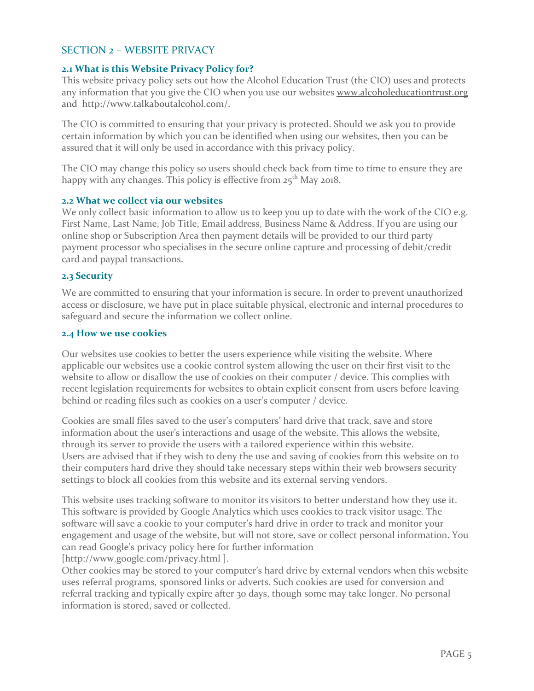# SECTION 2 – WEBSITE PRIVACY

## **2.1 What is this Website Privacy Policy for?**

This website privacy policy sets out how the Alcohol Education Trust (the CIO) uses and protects any information that you give the CIO when you use our websites www.alcoholeducationtrust.org and http://www.talkaboutalcohol.com/.

The CIO is committed to ensuring that your privacy is protected. Should we ask you to provide certain information by which you can be identified when using our websites, then you can be assured that it will only be used in accordance with this privacy policy.

The CIO may change this policy so users should check back from time to time to ensure they are happy with any changes. This policy is effective from 25<sup>th</sup> May 2018.

#### **2.2 What we collect via our websites**

We only collect basic information to allow us to keep you up to date with the work of the CIO e.g. First Name, Last Name, Job Title, Email address, Business Name & Address. If you are using our online shop or Subscription Area then payment details will be provided to our third party payment processor who specialises in the secure online capture and processing of debit/credit card and paypal transactions.

## **2.3 Security**

We are committed to ensuring that your information is secure. In order to prevent unauthorized access or disclosure, we have put in place suitable physical, electronic and internal procedures to safeguard and secure the information we collect online.

## **2.4 How we use cookies**

Our websites use cookies to better the users experience while visiting the website. Where applicable our websites use a cookie control system allowing the user on their first visit to the website to allow or disallow the use of cookies on their computer / device. This complies with recent legislation requirements for websites to obtain explicit consent from users before leaving behind or reading files such as cookies on a user's computer / device.

Cookies are small files saved to the user's computers' hard drive that track, save and store information about the user's interactions and usage of the website. This allows the website, through its server to provide the users with a tailored experience within this website. Users are advised that if they wish to deny the use and saving of cookies from this website on to their computers hard drive they should take necessary steps within their web browsers security settings to block all cookies from this website and its external serving vendors.

This website uses tracking software to monitor its visitors to better understand how they use it. This software is provided by Google Analytics which uses cookies to track visitor usage. The software will save a cookie to your computer's hard drive in order to track and monitor your engagement and usage of the website, but will not store, save or collect personal information. You can read Google's privacy policy here for further information [http://www.google.com/privacy.html].

Other cookies may be stored to your computer's hard drive by external vendors when this website uses referral programs, sponsored links or adverts. Such cookies are used for conversion and referral tracking and typically expire after 30 days, though some may take longer. No personal information is stored, saved or collected.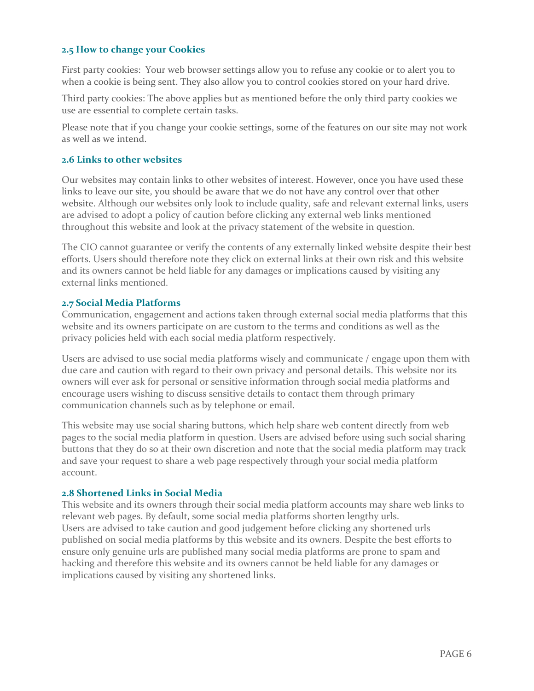## **2.5 How to change your Cookies**

First party cookies: Your web browser settings allow you to refuse any cookie or to alert you to when a cookie is being sent. They also allow you to control cookies stored on your hard drive.

Third party cookies: The above applies but as mentioned before the only third party cookies we use are essential to complete certain tasks.

Please note that if you change your cookie settings, some of the features on our site may not work as well as we intend.

#### **2.6 Links to other websites**

Our websites may contain links to other websites of interest. However, once you have used these links to leave our site, you should be aware that we do not have any control over that other website. Although our websites only look to include quality, safe and relevant external links, users are advised to adopt a policy of caution before clicking any external web links mentioned throughout this website and look at the privacy statement of the website in question.

The CIO cannot guarantee or verify the contents of any externally linked website despite their best efforts. Users should therefore note they click on external links at their own risk and this website and its owners cannot be held liable for any damages or implications caused by visiting any external links mentioned.

#### **2.7 Social Media Platforms**

Communication, engagement and actions taken through external social media platforms that this website and its owners participate on are custom to the terms and conditions as well as the privacy policies held with each social media platform respectively.

Users are advised to use social media platforms wisely and communicate / engage upon them with due care and caution with regard to their own privacy and personal details. This website nor its owners will ever ask for personal or sensitive information through social media platforms and encourage users wishing to discuss sensitive details to contact them through primary communication channels such as by telephone or email.

This website may use social sharing buttons, which help share web content directly from web pages to the social media platform in question. Users are advised before using such social sharing buttons that they do so at their own discretion and note that the social media platform may track and save your request to share a web page respectively through your social media platform account.

#### **2.8 Shortened Links in Social Media**

This website and its owners through their social media platform accounts may share web links to relevant web pages. By default, some social media platforms shorten lengthy urls. Users are advised to take caution and good judgement before clicking any shortened urls published on social media platforms by this website and its owners. Despite the best efforts to ensure only genuine urls are published many social media platforms are prone to spam and hacking and therefore this website and its owners cannot be held liable for any damages or implications caused by visiting any shortened links.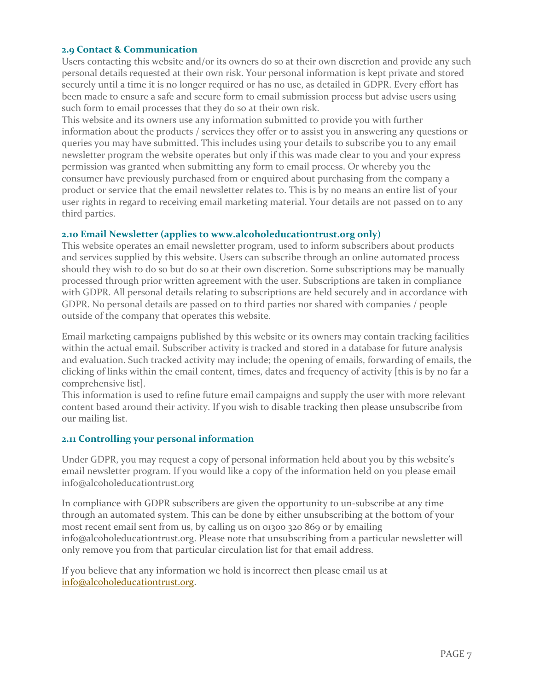#### **2.9 Contact & Communication**

Users contacting this website and/or its owners do so at their own discretion and provide any such personal details requested at their own risk. Your personal information is kept private and stored securely until a time it is no longer required or has no use, as detailed in GDPR. Every effort has been made to ensure a safe and secure form to email submission process but advise users using such form to email processes that they do so at their own risk.

This website and its owners use any information submitted to provide you with further information about the products / services they offer or to assist you in answering any questions or queries you may have submitted. This includes using your details to subscribe you to any email newsletter program the website operates but only if this was made clear to you and your express permission was granted when submitting any form to email process. Or whereby you the consumer have previously purchased from or enquired about purchasing from the company a product or service that the email newsletter relates to. This is by no means an entire list of your user rights in regard to receiving email marketing material. Your details are not passed on to any third parties.

## **2.10 Email Newsletter (applies to www.alcoholeducationtrust.org only)**

This website operates an email newsletter program, used to inform subscribers about products and services supplied by this website. Users can subscribe through an online automated process should they wish to do so but do so at their own discretion. Some subscriptions may be manually processed through prior written agreement with the user. Subscriptions are taken in compliance with GDPR. All personal details relating to subscriptions are held securely and in accordance with GDPR. No personal details are passed on to third parties nor shared with companies / people outside of the company that operates this website.

Email marketing campaigns published by this website or its owners may contain tracking facilities within the actual email. Subscriber activity is tracked and stored in a database for future analysis and evaluation. Such tracked activity may include; the opening of emails, forwarding of emails, the clicking of links within the email content, times, dates and frequency of activity [this is by no far a comprehensive list].

This information is used to refine future email campaigns and supply the user with more relevant content based around their activity. If you wish to disable tracking then please unsubscribe from our mailing list.

## **2.11 Controlling your personal information**

Under GDPR, you may request a copy of personal information held about you by this website's email newsletter program. If you would like a copy of the information held on you please email info@alcoholeducationtrust.org

In compliance with GDPR subscribers are given the opportunity to un-subscribe at any time through an automated system. This can be done by either unsubscribing at the bottom of your most recent email sent from us, by calling us on 01300 320 869 or by emailing info@alcoholeducationtrust.org. Please note that unsubscribing from a particular newsletter will only remove you from that particular circulation list for that email address.

If you believe that any information we hold is incorrect then please email us at info@alcoholeducationtrust.org.